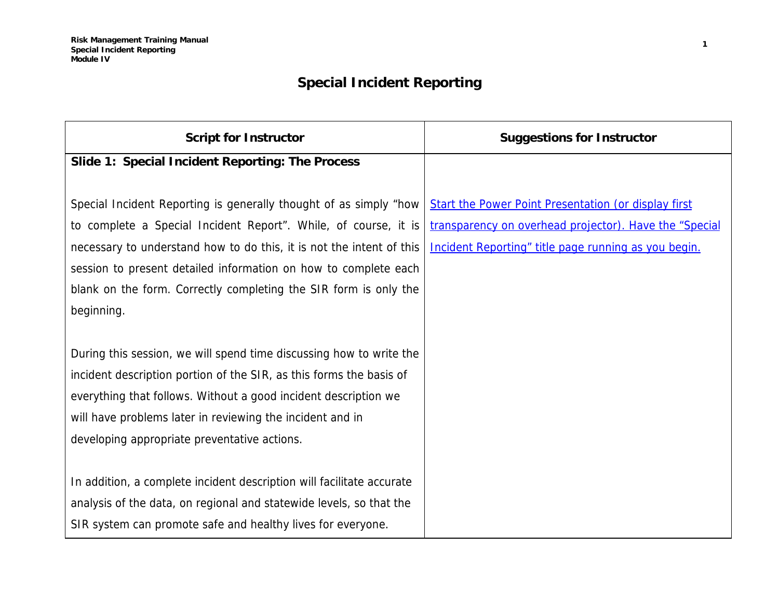## **Special Incident Reporting**

| <b>Script for Instructor</b>                                          | <b>Suggestions for Instructor</b>                           |
|-----------------------------------------------------------------------|-------------------------------------------------------------|
| Slide 1: Special Incident Reporting: The Process                      |                                                             |
|                                                                       |                                                             |
| Special Incident Reporting is generally thought of as simply "how     | <b>Start the Power Point Presentation (or display first</b> |
| to complete a Special Incident Report". While, of course, it is       | transparency on overhead projector). Have the "Special      |
| necessary to understand how to do this, it is not the intent of this  | Incident Reporting" title page running as you begin.        |
| session to present detailed information on how to complete each       |                                                             |
| blank on the form. Correctly completing the SIR form is only the      |                                                             |
| beginning.                                                            |                                                             |
|                                                                       |                                                             |
| During this session, we will spend time discussing how to write the   |                                                             |
| incident description portion of the SIR, as this forms the basis of   |                                                             |
| everything that follows. Without a good incident description we       |                                                             |
| will have problems later in reviewing the incident and in             |                                                             |
| developing appropriate preventative actions.                          |                                                             |
|                                                                       |                                                             |
| In addition, a complete incident description will facilitate accurate |                                                             |
| analysis of the data, on regional and statewide levels, so that the   |                                                             |
| SIR system can promote safe and healthy lives for everyone.           |                                                             |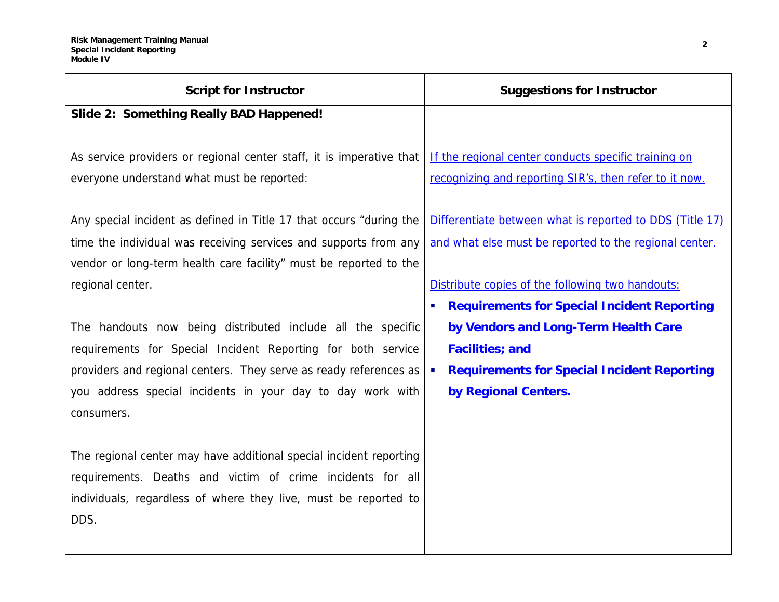| <b>Script for Instructor</b>                                         | <b>Suggestions for Instructor</b>                        |
|----------------------------------------------------------------------|----------------------------------------------------------|
| Slide 2: Something Really BAD Happened!                              |                                                          |
|                                                                      |                                                          |
| As service providers or regional center staff, it is imperative that | If the regional center conducts specific training on     |
| everyone understand what must be reported:                           | recognizing and reporting SIR's, then refer to it now.   |
|                                                                      |                                                          |
| Any special incident as defined in Title 17 that occurs "during the  | Differentiate between what is reported to DDS (Title 17) |
| time the individual was receiving services and supports from any     | and what else must be reported to the regional center.   |
| vendor or long-term health care facility" must be reported to the    |                                                          |
| regional center.                                                     | Distribute copies of the following two handouts:         |
|                                                                      | <b>Requirements for Special Incident Reporting</b>       |
| The handouts now being distributed include all the specific          | by Vendors and Long-Term Health Care                     |
| requirements for Special Incident Reporting for both service         | <b>Facilities</b> ; and                                  |
| providers and regional centers. They serve as ready references as    | <b>Requirements for Special Incident Reporting</b>       |
| you address special incidents in your day to day work with           | by Regional Centers.                                     |
| consumers.                                                           |                                                          |
|                                                                      |                                                          |
| The regional center may have additional special incident reporting   |                                                          |
| requirements. Deaths and victim of crime incidents for all           |                                                          |
| individuals, regardless of where they live, must be reported to      |                                                          |
| DDS.                                                                 |                                                          |
|                                                                      |                                                          |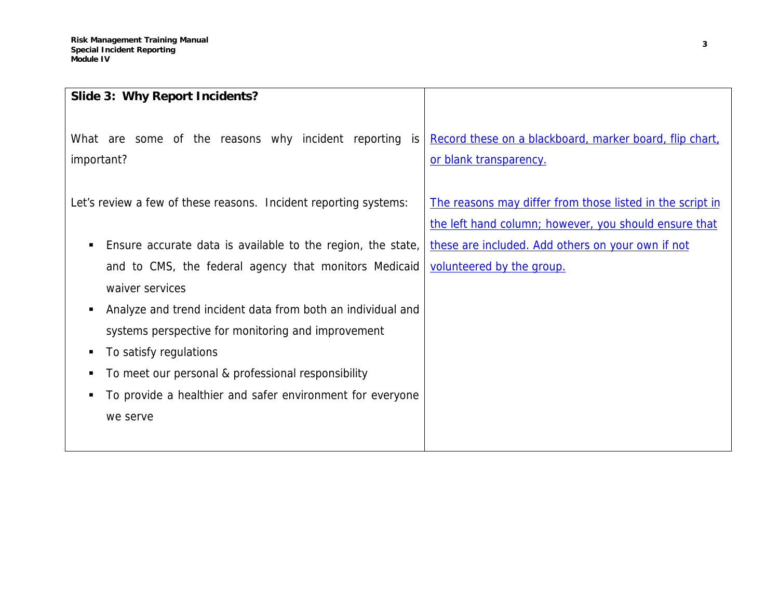| Slide 3: Why Report Incidents?                                                 |                                                                                                                    |
|--------------------------------------------------------------------------------|--------------------------------------------------------------------------------------------------------------------|
| What are some of the reasons why incident reporting<br><i>is</i><br>important? | Record these on a blackboard, marker board, flip chart,<br>or blank transparency.                                  |
| Let's review a few of these reasons. Incident reporting systems:               | The reasons may differ from those listed in the script in<br>the left hand column; however, you should ensure that |
| Ensure accurate data is available to the region, the state,<br>п               | these are included. Add others on your own if not                                                                  |
| and to CMS, the federal agency that monitors Medicaid                          | volunteered by the group.                                                                                          |
| waiver services                                                                |                                                                                                                    |
| Analyze and trend incident data from both an individual and<br>в               |                                                                                                                    |
| systems perspective for monitoring and improvement                             |                                                                                                                    |
| To satisfy regulations<br>в                                                    |                                                                                                                    |
| To meet our personal & professional responsibility<br>п                        |                                                                                                                    |
| To provide a healthier and safer environment for everyone<br>п                 |                                                                                                                    |
| we serve                                                                       |                                                                                                                    |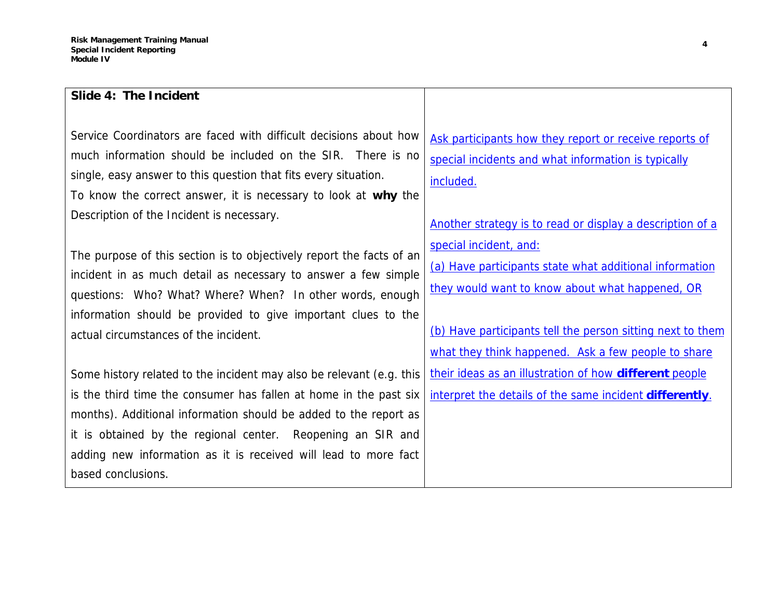| Slide 4: The Incident                                                                                                                                                                                                                                                                                                                                                 |                                                                                                                                                                                                                                                           |
|-----------------------------------------------------------------------------------------------------------------------------------------------------------------------------------------------------------------------------------------------------------------------------------------------------------------------------------------------------------------------|-----------------------------------------------------------------------------------------------------------------------------------------------------------------------------------------------------------------------------------------------------------|
| Service Coordinators are faced with difficult decisions about how<br>much information should be included on the SIR. There is no<br>single, easy answer to this question that fits every situation.<br>To know the correct answer, it is necessary to look at why the<br>Description of the Incident is necessary.                                                    | Ask participants how they report or receive reports of<br>special incidents and what information is typically<br>included.<br>Another strategy is to read or display a description of a                                                                   |
| The purpose of this section is to objectively report the facts of an<br>incident in as much detail as necessary to answer a few simple<br>questions: Who? What? Where? When? In other words, enough<br>information should be provided to give important clues to the<br>actual circumstances of the incident.                                                         | special incident, and:<br>(a) Have participants state what additional information<br>they would want to know about what happened, OR<br>(b) Have participants tell the person sitting next to them<br>what they think happened. Ask a few people to share |
| Some history related to the incident may also be relevant (e.g. this<br>is the third time the consumer has fallen at home in the past six<br>months). Additional information should be added to the report as<br>it is obtained by the regional center. Reopening an SIR and<br>adding new information as it is received will lead to more fact<br>based conclusions. | their ideas as an illustration of how <b>different</b> people<br>interpret the details of the same incident <b>differently</b> .                                                                                                                          |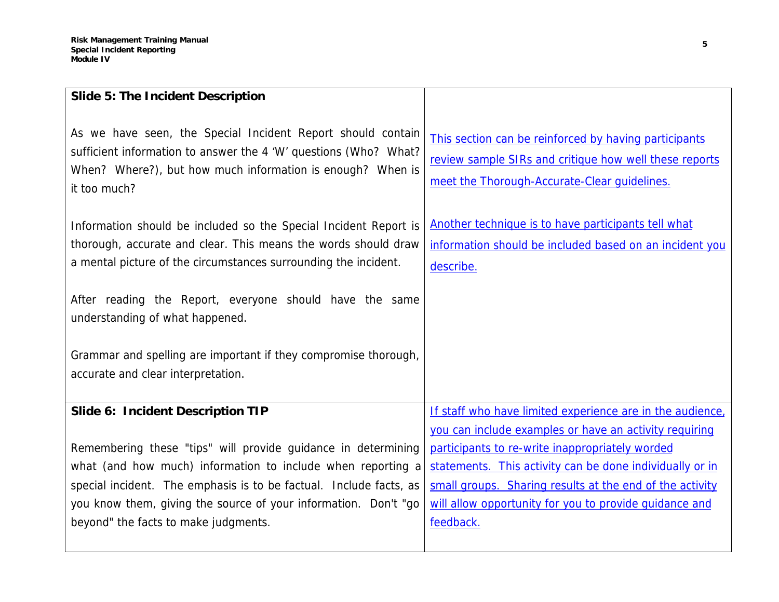| Slide 5: The Incident Description                                                                                                                                                                                                                                                                             |                                                                                                                                                                                                                                                |
|---------------------------------------------------------------------------------------------------------------------------------------------------------------------------------------------------------------------------------------------------------------------------------------------------------------|------------------------------------------------------------------------------------------------------------------------------------------------------------------------------------------------------------------------------------------------|
| As we have seen, the Special Incident Report should contain<br>sufficient information to answer the 4 'W' questions (Who? What?<br>When? Where?), but how much information is enough? When is<br>it too much?                                                                                                 | This section can be reinforced by having participants<br>review sample SIRs and critique how well these reports<br>meet the Thorough-Accurate-Clear quidelines.                                                                                |
| Information should be included so the Special Incident Report is<br>thorough, accurate and clear. This means the words should draw<br>a mental picture of the circumstances surrounding the incident.                                                                                                         | Another technique is to have participants tell what<br>information should be included based on an incident you<br>describe.                                                                                                                    |
| After reading the Report, everyone should have the same<br>understanding of what happened.                                                                                                                                                                                                                    |                                                                                                                                                                                                                                                |
| Grammar and spelling are important if they compromise thorough,<br>accurate and clear interpretation.                                                                                                                                                                                                         |                                                                                                                                                                                                                                                |
| Slide 6: Incident Description TIP                                                                                                                                                                                                                                                                             | If staff who have limited experience are in the audience,<br>you can include examples or have an activity requiring                                                                                                                            |
| Remembering these "tips" will provide guidance in determining<br>what (and how much) information to include when reporting a<br>special incident. The emphasis is to be factual. Include facts, as<br>you know them, giving the source of your information. Don't "go<br>beyond" the facts to make judgments. | participants to re-write inappropriately worded<br>statements. This activity can be done individually or in<br>small groups. Sharing results at the end of the activity<br>will allow opportunity for you to provide quidance and<br>feedback. |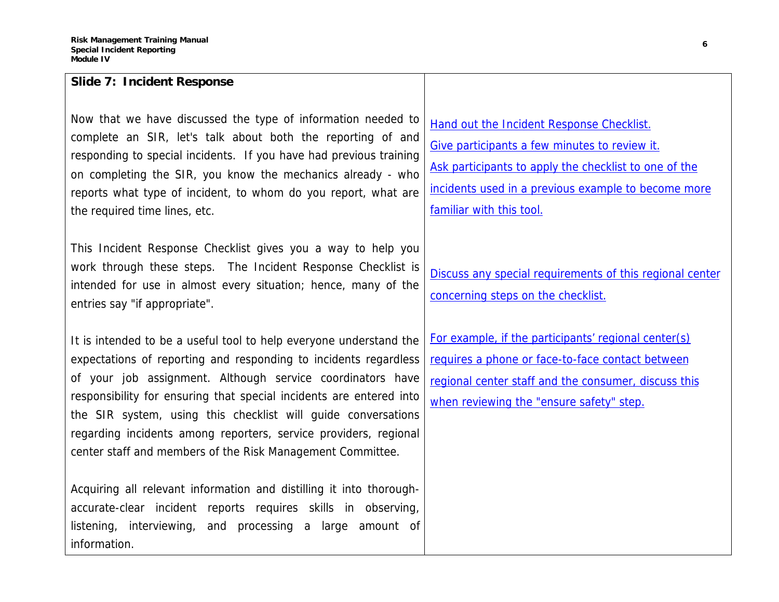| Slide 7: Incident Response                                                                                                                                                                                                                                                                                                                                                                                                                                                     |                                                                                                                                                                                                                                        |
|--------------------------------------------------------------------------------------------------------------------------------------------------------------------------------------------------------------------------------------------------------------------------------------------------------------------------------------------------------------------------------------------------------------------------------------------------------------------------------|----------------------------------------------------------------------------------------------------------------------------------------------------------------------------------------------------------------------------------------|
| Now that we have discussed the type of information needed to<br>complete an SIR, let's talk about both the reporting of and<br>responding to special incidents. If you have had previous training<br>on completing the SIR, you know the mechanics already - who<br>reports what type of incident, to whom do you report, what are<br>the required time lines, etc.                                                                                                            | Hand out the Incident Response Checklist.<br>Give participants a few minutes to review it.<br>Ask participants to apply the checklist to one of the<br>incidents used in a previous example to become more<br>familiar with this tool. |
| This Incident Response Checklist gives you a way to help you<br>work through these steps. The Incident Response Checklist is<br>intended for use in almost every situation; hence, many of the<br>entries say "if appropriate".                                                                                                                                                                                                                                                | Discuss any special requirements of this regional center<br>concerning steps on the checklist.                                                                                                                                         |
| It is intended to be a useful tool to help everyone understand the<br>expectations of reporting and responding to incidents regardless<br>of your job assignment. Although service coordinators have<br>responsibility for ensuring that special incidents are entered into<br>the SIR system, using this checklist will guide conversations<br>regarding incidents among reporters, service providers, regional<br>center staff and members of the Risk Management Committee. | For example, if the participants' regional center(s)<br>requires a phone or face-to-face contact between<br>regional center staff and the consumer, discuss this<br>when reviewing the "ensure safety" step.                           |
| Acquiring all relevant information and distilling it into thorough-<br>accurate-clear incident reports requires skills in observing,<br>and processing a large<br>listening, interviewing,<br>amount of<br>information.                                                                                                                                                                                                                                                        |                                                                                                                                                                                                                                        |